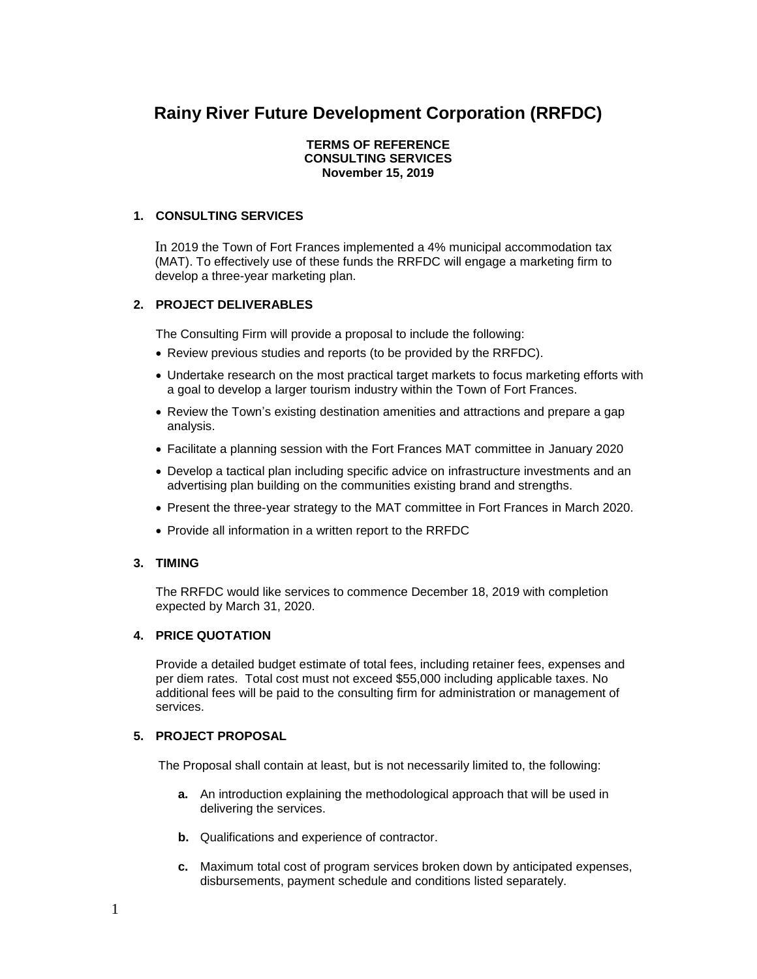# **Rainy River Future Development Corporation (RRFDC)**

#### **TERMS OF REFERENCE CONSULTING SERVICES November 15, 2019**

## **1. CONSULTING SERVICES**

In 2019 the Town of Fort Frances implemented a 4% municipal accommodation tax (MAT). To effectively use of these funds the RRFDC will engage a marketing firm to develop a three-year marketing plan.

## **2. PROJECT DELIVERABLES**

The Consulting Firm will provide a proposal to include the following:

- Review previous studies and reports (to be provided by the RRFDC).
- Undertake research on the most practical target markets to focus marketing efforts with a goal to develop a larger tourism industry within the Town of Fort Frances.
- Review the Town's existing destination amenities and attractions and prepare a gap analysis.
- Facilitate a planning session with the Fort Frances MAT committee in January 2020
- Develop a tactical plan including specific advice on infrastructure investments and an advertising plan building on the communities existing brand and strengths.
- Present the three-year strategy to the MAT committee in Fort Frances in March 2020.
- Provide all information in a written report to the RRFDC

#### **3. TIMING**

The RRFDC would like services to commence December 18, 2019 with completion expected by March 31, 2020.

#### **4. PRICE QUOTATION**

Provide a detailed budget estimate of total fees, including retainer fees, expenses and per diem rates. Total cost must not exceed \$55,000 including applicable taxes. No additional fees will be paid to the consulting firm for administration or management of services.

#### **5. PROJECT PROPOSAL**

The Proposal shall contain at least, but is not necessarily limited to, the following:

- **a.** An introduction explaining the methodological approach that will be used in delivering the services.
- **b.** Qualifications and experience of contractor.
- **c.** Maximum total cost of program services broken down by anticipated expenses, disbursements, payment schedule and conditions listed separately.